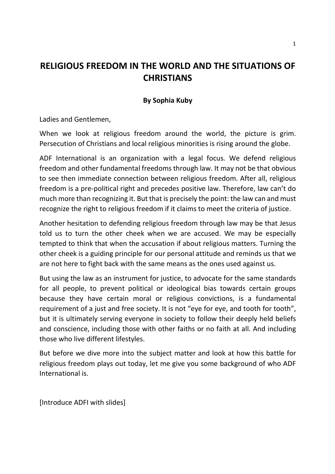# **RELIGIOUS FREEDOM IN THE WORLD AND THE SITUATIONS OF CHRISTIANS**

#### **By Sophia Kuby**

Ladies and Gentlemen,

When we look at religious freedom around the world, the picture is grim. Persecution of Christians and local religious minorities is rising around the globe.

ADF International is an organization with a legal focus. We defend religious freedom and other fundamental freedoms through law. It may not be that obvious to see then immediate connection between religious freedom. After all, religious freedom is a pre-political right and precedes positive law. Therefore, law can't do much more than recognizing it. But that is precisely the point: the law can and must recognize the right to religious freedom if it claims to meet the criteria of justice.

Another hesitation to defending religious freedom through law may be that Jesus told us to turn the other cheek when we are accused. We may be especially tempted to think that when the accusation if about religious matters. Turning the other cheek is a guiding principle for our personal attitude and reminds us that we are not here to fight back with the same means as the ones used against us.

But using the law as an instrument for justice, to advocate for the same standards for all people, to prevent political or ideological bias towards certain groups because they have certain moral or religious convictions, is a fundamental requirement of a just and free society. It is not "eye for eye, and tooth for tooth", but it is ultimately serving everyone in society to follow their deeply held beliefs and conscience, including those with other faiths or no faith at all. And including those who live different lifestyles.

But before we dive more into the subject matter and look at how this battle for religious freedom plays out today, let me give you some background of who ADF International is.

[Introduce ADFI with slides]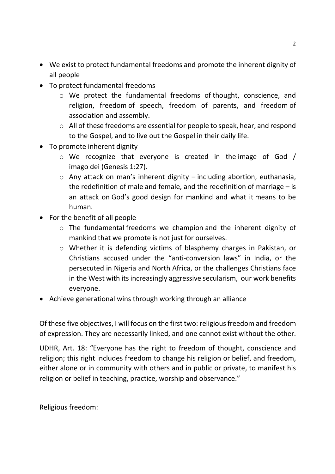- We exist to protect fundamental freedoms and promote the inherent dignity of all people
- To protect fundamental freedoms
	- o We protect the fundamental freedoms of thought, conscience, and religion, freedom of speech, freedom of parents, and freedom of association and assembly.
	- o All of these freedoms are essential for people to speak, hear, and respond to the Gospel, and to live out the Gospel in their daily life.
- To promote inherent dignity
	- o We recognize that everyone is created in the image of God / imago dei (Genesis 1:27).
	- o Any attack on man's inherent dignity including abortion, euthanasia, the redefinition of male and female, and the redefinition of marriage – is an attack on God's good design for mankind and what it means to be human.
- For the benefit of all people
	- o The fundamental freedoms we champion and the inherent dignity of mankind that we promote is not just for ourselves.
	- o Whether it is defending victims of blasphemy charges in Pakistan, or Christians accused under the "anti-conversion laws" in India, or the persecuted in Nigeria and North Africa, or the challenges Christians face in the West with its increasingly aggressive secularism, our work benefits everyone.
- Achieve generational wins through working through an alliance

Of these five objectives, I will focus on the first two: religious freedom and freedom of expression. They are necessarily linked, and one cannot exist without the other.

UDHR, Art. 18: "Everyone has the right to freedom of thought, conscience and religion; this right includes freedom to change his religion or belief, and freedom, either alone or in community with others and in public or private, to manifest his religion or belief in teaching, practice, worship and observance."

Religious freedom: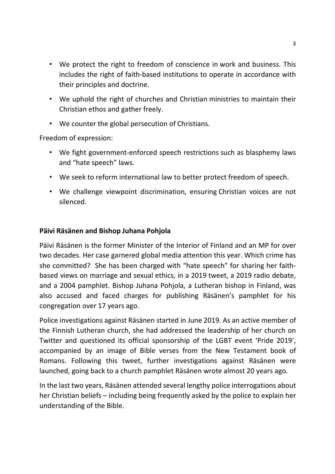- We protect the right to freedom of conscience in work and business. This includes the right of faith-based institutions to operate in accordance with their principles and doctrine.
- We uphold the right of churches and Christian ministries to maintain their Christian ethos and gather freely.
- We counter the global persecution of Christians.

Freedom of expression:

- We fight government-enforced speech restrictions such as blasphemy laws and "hate speech" laws.
- We seek to reform international law to better protect freedom of speech.
- We challenge viewpoint discrimination, ensuring Christian voices are not silenced.

#### **Päivi Räsänen and Bishop Juhana Pohjola**

Päivi Räsänen is the former Minister of the Interior of Finland and an MP for over two decades. Her case garnered global media attention this year. Which crime has she committed? She has been charged with "hate speech" for sharing her faithbased views on marriage and sexual ethics, in a 2019 tweet, a 2019 radio debate, and a 2004 pamphlet. Bishop Juhana Pohjola, a Lutheran bishop in Finland, was also accused and faced charges for publishing Räsänen's pamphlet for his congregation over 17 years ago.

Police investigations against Räsänen started in June 2019. As an active member of the Finnish Lutheran church, she had addressed the leadership of her church on Twitter and questioned its official sponsorship of the LGBT event 'Pride 2019', accompanied by an image of Bible verses from the New Testament book of Romans. Following this tweet, further investigations against Räsänen were launched, going back to a church pamphlet Räsänen wrote almost 20 years ago.

In the last two years, Räsänen attended several lengthy police interrogations about her Christian beliefs – including being frequently asked by the police to explain her understanding of the Bible.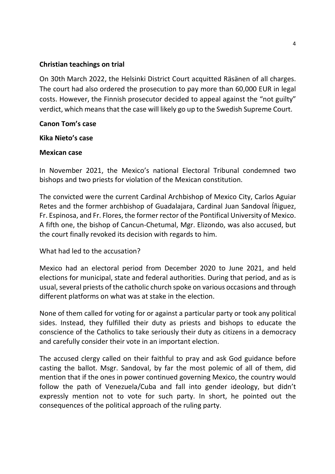#### **Christian teachings on trial**

On 30th March 2022, the Helsinki District Court acquitted Räsänen of all charges. The court had also ordered the prosecution to pay more than 60,000 EUR in legal costs. However, the Finnish prosecutor decided to appeal against the "not guilty" verdict, which means that the case will likely go up to the Swedish Supreme Court.

#### **Canon Tom's case**

#### **Kika Nieto's case**

#### **Mexican case**

In November 2021, the Mexico's national Electoral Tribunal condemned two bishops and two priests for violation of the Mexican constitution.

The convicted were the current Cardinal Archbishop of Mexico City, Carlos Aguiar Retes and the former archbishop of Guadalajara, Cardinal Juan Sandoval Íñiguez, Fr. Espinosa, and Fr. Flores, the former rector of the Pontifical University of Mexico. A fifth one, the bishop of Cancun-Chetumal, Mgr. Elizondo, was also accused, but the court finally revoked its decision with regards to him.

## What had led to the accusation?

Mexico had an electoral period from December 2020 to June 2021, and held elections for municipal, state and federal authorities. During that period, and as is usual, several priests of the catholic church spoke on various occasions and through different platforms on what was at stake in the election.

None of them called for voting for or against a particular party or took any political sides. Instead, they fulfilled their duty as priests and bishops to educate the conscience of the Catholics to take seriously their duty as citizens in a democracy and carefully consider their vote in an important election.

The accused clergy called on their faithful to pray and ask God guidance before casting the ballot. Msgr. Sandoval, by far the most polemic of all of them, did mention that if the ones in power continued governing Mexico, the country would follow the path of Venezuela/Cuba and fall into gender ideology, but didn't expressly mention not to vote for such party. In short, he pointed out the consequences of the political approach of the ruling party.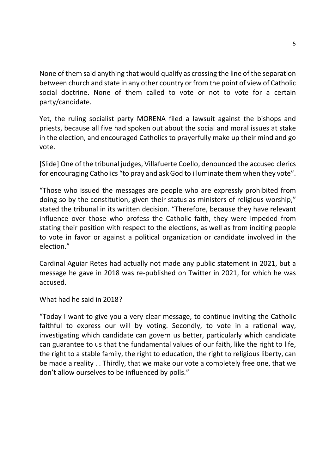None of them said anything that would qualify as crossing the line of the separation between church and state in any other country or from the point of view of Catholic social doctrine. None of them called to vote or not to vote for a certain party/candidate.

Yet, the ruling socialist party MORENA filed a lawsuit against the bishops and priests, because all five had spoken out about the social and moral issues at stake in the election, and encouraged Catholics to prayerfully make up their mind and go vote.

[Slide] One of the tribunal judges, Villafuerte Coello, denounced the accused clerics for encouraging Catholics "to pray and ask God to illuminate them when they vote".

"Those who issued the messages are people who are expressly prohibited from doing so by the constitution, given their status as ministers of religious worship," stated the tribunal in its written decision. "Therefore, because they have relevant influence over those who profess the Catholic faith, they were impeded from stating their position with respect to the elections, as well as from inciting people to vote in favor or against a political organization or candidate involved in the election."

Cardinal Aguiar Retes had actually not made any public statement in 2021, but a message he gave in 2018 was re-published on Twitter in 2021, for which he was accused.

What had he said in 2018?

"Today I want to give you a very clear message, to continue inviting the Catholic faithful to express our will by voting. Secondly, to vote in a rational way, investigating which candidate can govern us better, particularly which candidate can guarantee to us that the fundamental values of our faith, like the right to life, the right to a stable family, the right to education, the right to religious liberty, can be made a reality . . Thirdly, that we make our vote a completely free one, that we don't allow ourselves to be influenced by polls."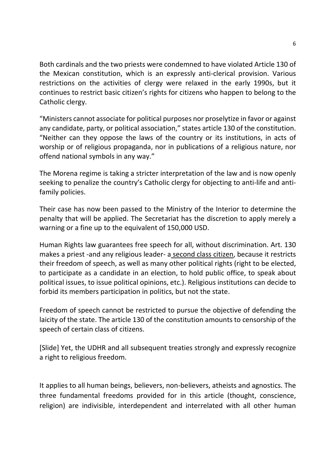Both cardinals and the two priests were condemned to have violated Article 130 of the Mexican constitution, which is an expressly anti-clerical provision. Various restrictions on the activities of clergy were relaxed in the early 1990s, but it continues to restrict basic citizen's rights for citizens who happen to belong to the Catholic clergy.

"Ministers cannot associate for political purposes nor proselytize in favor or against any candidate, party, or political association," states article 130 of the constitution. "Neither can they oppose the laws of the country or its institutions, in acts of worship or of religious propaganda, nor in publications of a religious nature, nor offend national symbols in any way."

The Morena regime is taking a stricter interpretation of the law and is now openly seeking to penalize the country's Catholic clergy for objecting to anti-life and antifamily policies.

Their case has now been passed to the Ministry of the Interior to determine the penalty that will be applied. The Secretariat has the discretion to apply merely a warning or a fine up to the equivalent of 150,000 USD.

Human Rights law guarantees free speech for all, without discrimination. Art. 130 makes a priest -and any religious leader- a second class citizen, because it restricts their freedom of speech, as well as many other political rights (right to be elected, to participate as a candidate in an election, to hold public office, to speak about political issues, to issue political opinions, etc.). Religious institutions can decide to forbid its members participation in politics, but not the state.

Freedom of speech cannot be restricted to pursue the objective of defending the laicity of the state. The article 130 of the constitution amounts to censorship of the speech of certain class of citizens.

[Slide] Yet, the UDHR and all subsequent treaties strongly and expressly recognize a right to religious freedom.

It applies to all human beings, believers, non-believers, atheists and agnostics. The three fundamental freedoms provided for in this article (thought, conscience, religion) are indivisible, interdependent and interrelated with all other human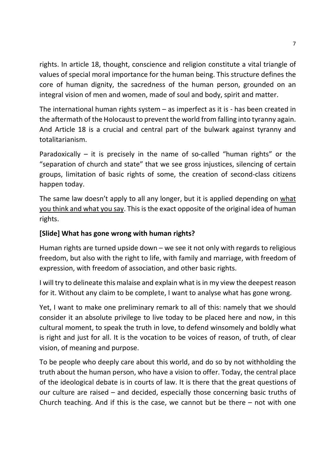rights. In article 18, thought, conscience and religion constitute a vital triangle of values of special moral importance for the human being. This structure defines the core of human dignity, the sacredness of the human person, grounded on an integral vision of men and women, made of soul and body, spirit and matter.

The international human rights system – as imperfect as it is - has been created in the aftermath of the Holocaust to prevent the world from falling into tyranny again. And Article 18 is a crucial and central part of the bulwark against tyranny and totalitarianism.

Paradoxically – it is precisely in the name of so-called "human rights" or the "separation of church and state" that we see gross injustices, silencing of certain groups, limitation of basic rights of some, the creation of second-class citizens happen today.

The same law doesn't apply to all any longer, but it is applied depending on what you think and what you say. This is the exact opposite of the original idea of human rights.

# **[Slide] What has gone wrong with human rights?**

Human rights are turned upside down – we see it not only with regards to religious freedom, but also with the right to life, with family and marriage, with freedom of expression, with freedom of association, and other basic rights.

I will try to delineate this malaise and explain what is in my view the deepest reason for it. Without any claim to be complete, I want to analyse what has gone wrong.

Yet, I want to make one preliminary remark to all of this: namely that we should consider it an absolute privilege to live today to be placed here and now, in this cultural moment, to speak the truth in love, to defend winsomely and boldly what is right and just for all. It is the vocation to be voices of reason, of truth, of clear vision, of meaning and purpose.

To be people who deeply care about this world, and do so by not withholding the truth about the human person, who have a vision to offer. Today, the central place of the ideological debate is in courts of law. It is there that the great questions of our culture are raised – and decided, especially those concerning basic truths of Church teaching. And if this is the case, we cannot but be there – not with one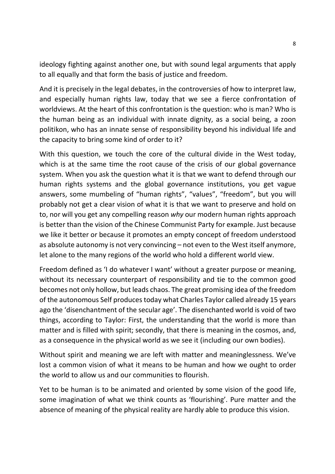ideology fighting against another one, but with sound legal arguments that apply to all equally and that form the basis of justice and freedom.

And it is precisely in the legal debates, in the controversies of how to interpret law, and especially human rights law, today that we see a fierce confrontation of worldviews. At the heart of this confrontation is the question: who is man? Who is the human being as an individual with innate dignity, as a social being, a zoon politikon, who has an innate sense of responsibility beyond his individual life and the capacity to bring some kind of order to it?

With this question, we touch the core of the cultural divide in the West today, which is at the same time the root cause of the crisis of our global governance system. When you ask the question what it is that we want to defend through our human rights systems and the global governance institutions, you get vague answers, some mumbeling of "human rights", "values", "freedom", but you will probably not get a clear vision of what it is that we want to preserve and hold on to, nor will you get any compelling reason *why* our modern human rights approach is better than the vision of the Chinese Communist Party for example. Just because we like it better or because it promotes an empty concept of freedom understood as absolute autonomy is not very convincing – not even to the West itself anymore, let alone to the many regions of the world who hold a different world view.

Freedom defined as 'I do whatever I want' without a greater purpose or meaning, without its necessary counterpart of responsibility and tie to the common good becomes not only hollow, but leads chaos. The great promising idea of the freedom of the autonomous Self produces today what Charles Taylor called already 15 years ago the 'disenchantment of the secular age'. The disenchanted world is void of two things, according to Taylor: First, the understanding that the world is more than matter and is filled with spirit; secondly, that there is meaning in the cosmos, and, as a consequence in the physical world as we see it (including our own bodies).

Without spirit and meaning we are left with matter and meaninglessness. We've lost a common vision of what it means to be human and how we ought to order the world to allow us and our communities to flourish.

Yet to be human is to be animated and oriented by some vision of the good life, some imagination of what we think counts as 'flourishing'. Pure matter and the absence of meaning of the physical reality are hardly able to produce this vision.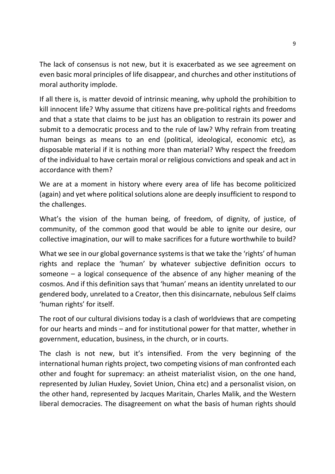The lack of consensus is not new, but it is exacerbated as we see agreement on even basic moral principles of life disappear, and churches and other institutions of moral authority implode.

If all there is, is matter devoid of intrinsic meaning, why uphold the prohibition to kill innocent life? Why assume that citizens have pre-political rights and freedoms and that a state that claims to be just has an obligation to restrain its power and submit to a democratic process and to the rule of law? Why refrain from treating human beings as means to an end (political, ideological, economic etc), as disposable material if it is nothing more than material? Why respect the freedom of the individual to have certain moral or religious convictions and speak and act in accordance with them?

We are at a moment in history where every area of life has become politicized (again) and yet where political solutions alone are deeply insufficient to respond to the challenges.

What's the vision of the human being, of freedom, of dignity, of justice, of community, of the common good that would be able to ignite our desire, our collective imagination, our will to make sacrifices for a future worthwhile to build?

What we see in our global governance systems is that we take the 'rights' of human rights and replace the 'human' by whatever subjective definition occurs to someone – a logical consequence of the absence of any higher meaning of the cosmos. And if this definition says that 'human' means an identity unrelated to our gendered body, unrelated to a Creator, then this disincarnate, nebulous Self claims 'human rights' for itself.

The root of our cultural divisions today is a clash of worldviews that are competing for our hearts and minds – and for institutional power for that matter, whether in government, education, business, in the church, or in courts.

The clash is not new, but it's intensified. From the very beginning of the international human rights project, two competing visions of man confronted each other and fought for supremacy: an atheist materialist vision, on the one hand, represented by Julian Huxley, Soviet Union, China etc) and a personalist vision, on the other hand, represented by Jacques Maritain, Charles Malik, and the Western liberal democracies. The disagreement on what the basis of human rights should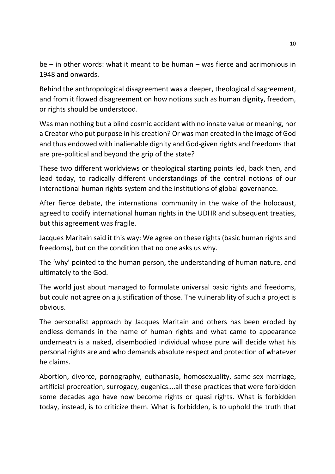be – in other words: what it meant to be human – was fierce and acrimonious in 1948 and onwards.

Behind the anthropological disagreement was a deeper, theological disagreement, and from it flowed disagreement on how notions such as human dignity, freedom, or rights should be understood.

Was man nothing but a blind cosmic accident with no innate value or meaning, nor a Creator who put purpose in his creation? Or was man created in the image of God and thus endowed with inalienable dignity and God-given rights and freedoms that are pre-political and beyond the grip of the state?

These two different worldviews or theological starting points led, back then, and lead today, to radically different understandings of the central notions of our international human rights system and the institutions of global governance.

After fierce debate, the international community in the wake of the holocaust, agreed to codify international human rights in the UDHR and subsequent treaties, but this agreement was fragile.

Jacques Maritain said it this way: We agree on these rights (basic human rights and freedoms), but on the condition that no one asks us why.

The 'why' pointed to the human person, the understanding of human nature, and ultimately to the God.

The world just about managed to formulate universal basic rights and freedoms, but could not agree on a justification of those. The vulnerability of such a project is obvious.

The personalist approach by Jacques Maritain and others has been eroded by endless demands in the name of human rights and what came to appearance underneath is a naked, disembodied individual whose pure will decide what his personal rights are and who demands absolute respect and protection of whatever he claims.

Abortion, divorce, pornography, euthanasia, homosexuality, same-sex marriage, artificial procreation, surrogacy, eugenics….all these practices that were forbidden some decades ago have now become rights or quasi rights. What is forbidden today, instead, is to criticize them. What is forbidden, is to uphold the truth that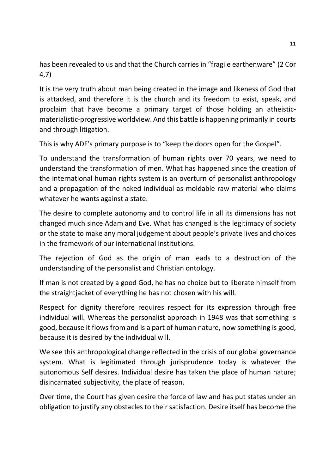has been revealed to us and that the Church carries in "fragile earthenware" (2 Cor 4,7)

It is the very truth about man being created in the image and likeness of God that is attacked, and therefore it is the church and its freedom to exist, speak, and proclaim that have become a primary target of those holding an atheisticmaterialistic-progressive worldview. And this battle is happening primarily in courts and through litigation.

This is why ADF's primary purpose is to "keep the doors open for the Gospel".

To understand the transformation of human rights over 70 years, we need to understand the transformation of men. What has happened since the creation of the international human rights system is an overturn of personalist anthropology and a propagation of the naked individual as moldable raw material who claims whatever he wants against a state.

The desire to complete autonomy and to control life in all its dimensions has not changed much since Adam and Eve. What has changed is the legitimacy of society or the state to make any moral judgement about people's private lives and choices in the framework of our international institutions.

The rejection of God as the origin of man leads to a destruction of the understanding of the personalist and Christian ontology.

If man is not created by a good God, he has no choice but to liberate himself from the straightjacket of everything he has not chosen with his will.

Respect for dignity therefore requires respect for its expression through free individual will. Whereas the personalist approach in 1948 was that something is good, because it flows from and is a part of human nature, now something is good, because it is desired by the individual will.

We see this anthropological change reflected in the crisis of our global governance system. What is legitimated through jurisprudence today is whatever the autonomous Self desires. Individual desire has taken the place of human nature; disincarnated subjectivity, the place of reason.

Over time, the Court has given desire the force of law and has put states under an obligation to justify any obstacles to their satisfaction. Desire itself has become the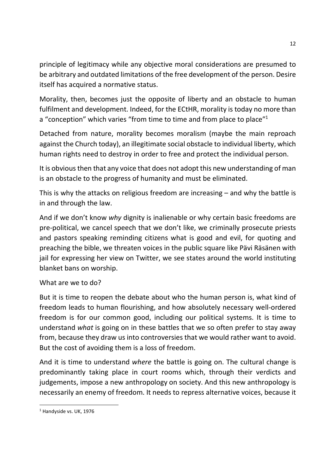principle of legitimacy while any objective moral considerations are presumed to be arbitrary and outdated limitations of the free development of the person. Desire itself has acquired a normative status.

Morality, then, becomes just the opposite of liberty and an obstacle to human fulfilment and development. Indeed, for the ECtHR, morality is today no more than a "conception" which varies "from time to time and from place to place"<sup>1</sup>

Detached from nature, morality becomes moralism (maybe the main reproach against the Church today), an illegitimate social obstacle to individual liberty, which human rights need to destroy in order to free and protect the individual person.

It is obvious then that any voice that does not adopt this new understanding of man is an obstacle to the progress of humanity and must be eliminated.

This is why the attacks on religious freedom are increasing – and why the battle is in and through the law.

And if we don't know *why* dignity is inalienable or why certain basic freedoms are pre-political, we cancel speech that we don't like, we criminally prosecute priests and pastors speaking reminding citizens what is good and evil, for quoting and preaching the bible, we threaten voices in the public square like Pävi Räsänen with jail for expressing her view on Twitter, we see states around the world instituting blanket bans on worship.

## What are we to do?

But it is time to reopen the debate about who the human person is, what kind of freedom leads to human flourishing, and how absolutely necessary well-ordered freedom is for our common good, including our political systems. It is time to understand *what* is going on in these battles that we so often prefer to stay away from, because they draw us into controversies that we would rather want to avoid. But the cost of avoiding them is a loss of freedom.

And it is time to understand *where* the battle is going on. The cultural change is predominantly taking place in court rooms which, through their verdicts and judgements, impose a new anthropology on society. And this new anthropology is necessarily an enemy of freedom. It needs to repress alternative voices, because it

<u>.</u>

<sup>&</sup>lt;sup>1</sup> Handyside vs. UK, 1976